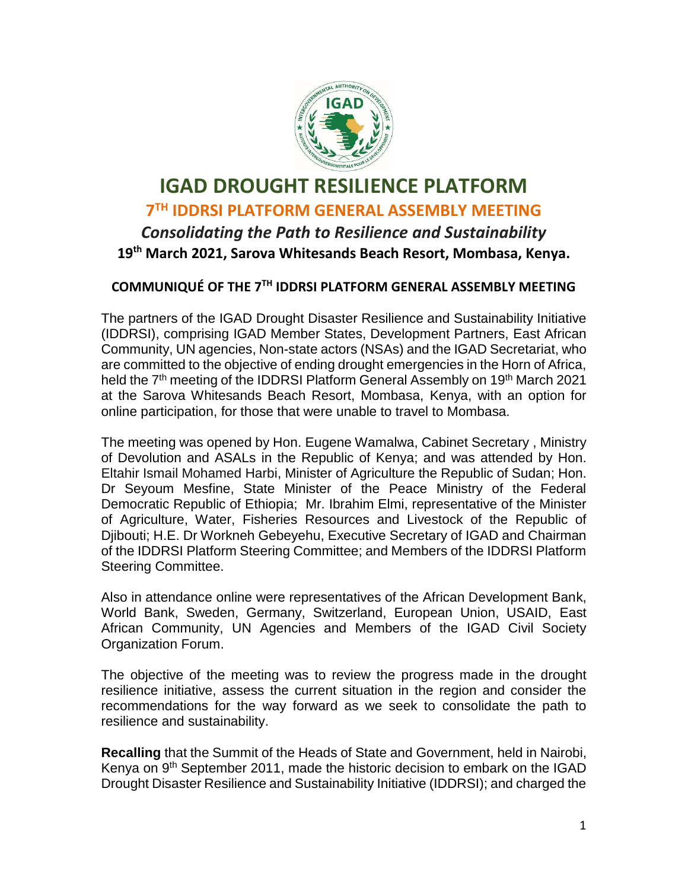

## **IGAD DROUGHT RESILIENCE PLATFORM 7 TH IDDRSI PLATFORM GENERAL ASSEMBLY MEETING** *Consolidating the Path to Resilience and Sustainability* **19th March 2021, Sarova Whitesands Beach Resort, Mombasa, Kenya.**

## **COMMUNIQUÉ OF THE 7 TH IDDRSI PLATFORM GENERAL ASSEMBLY MEETING**

The partners of the IGAD Drought Disaster Resilience and Sustainability Initiative (IDDRSI), comprising IGAD Member States, Development Partners, East African Community, UN agencies, Non-state actors (NSAs) and the IGAD Secretariat, who are committed to the objective of ending drought emergencies in the Horn of Africa, held the 7<sup>th</sup> meeting of the IDDRSI Platform General Assembly on 19<sup>th</sup> March 2021 at the Sarova Whitesands Beach Resort, Mombasa, Kenya, with an option for online participation, for those that were unable to travel to Mombasa.

The meeting was opened by Hon. Eugene Wamalwa, Cabinet Secretary , Ministry of Devolution and ASALs in the Republic of Kenya; and was attended by Hon. Eltahir Ismail Mohamed Harbi, Minister of Agriculture the Republic of Sudan; Hon. Dr Seyoum Mesfine, State Minister of the Peace Ministry of the Federal Democratic Republic of Ethiopia; Mr. Ibrahim Elmi, representative of the Minister of Agriculture, Water, Fisheries Resources and Livestock of the Republic of Djibouti; H.E. Dr Workneh Gebeyehu, Executive Secretary of IGAD and Chairman of the IDDRSI Platform Steering Committee; and Members of the IDDRSI Platform Steering Committee.

Also in attendance online were representatives of the African Development Bank, World Bank, Sweden, Germany, Switzerland, European Union, USAID, East African Community, UN Agencies and Members of the IGAD Civil Society Organization Forum.

The objective of the meeting was to review the progress made in the drought resilience initiative, assess the current situation in the region and consider the recommendations for the way forward as we seek to consolidate the path to resilience and sustainability.

**Recalling** that the Summit of the Heads of State and Government, held in Nairobi, Kenya on 9<sup>th</sup> September 2011, made the historic decision to embark on the IGAD Drought Disaster Resilience and Sustainability Initiative (IDDRSI); and charged the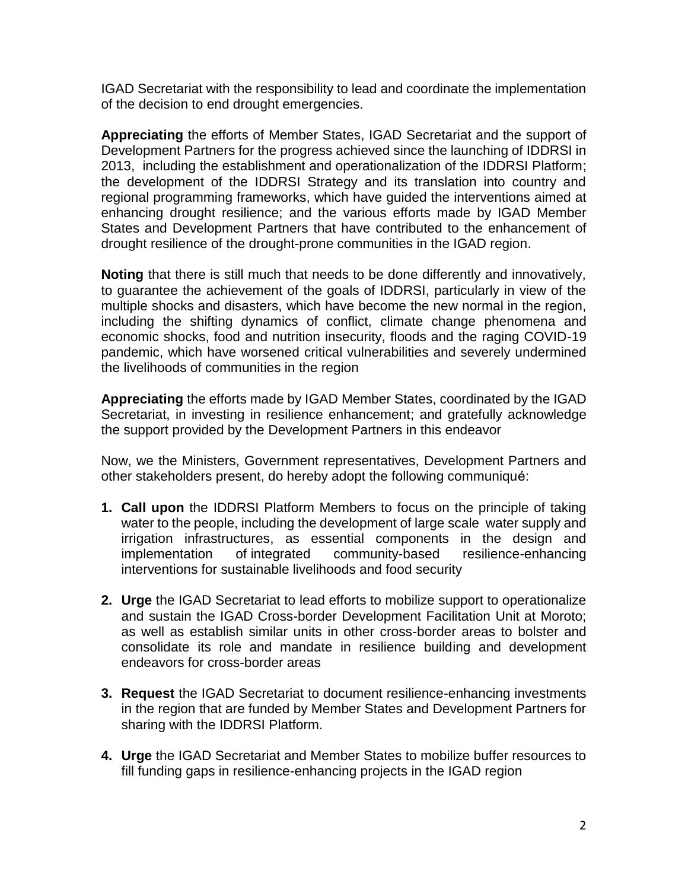IGAD Secretariat with the responsibility to lead and coordinate the implementation of the decision to end drought emergencies.

**Appreciating** the efforts of Member States, IGAD Secretariat and the support of Development Partners for the progress achieved since the launching of IDDRSI in 2013, including the establishment and operationalization of the IDDRSI Platform; the development of the IDDRSI Strategy and its translation into country and regional programming frameworks, which have guided the interventions aimed at enhancing drought resilience; and the various efforts made by IGAD Member States and Development Partners that have contributed to the enhancement of drought resilience of the drought-prone communities in the IGAD region.

**Noting** that there is still much that needs to be done differently and innovatively, to guarantee the achievement of the goals of IDDRSI, particularly in view of the multiple shocks and disasters, which have become the new normal in the region, including the shifting dynamics of conflict, climate change phenomena and economic shocks, food and nutrition insecurity, floods and the raging COVID-19 pandemic, which have worsened critical vulnerabilities and severely undermined the livelihoods of communities in the region

**Appreciating** the efforts made by IGAD Member States, coordinated by the IGAD Secretariat, in investing in resilience enhancement; and gratefully acknowledge the support provided by the Development Partners in this endeavor

Now, we the Ministers, Government representatives, Development Partners and other stakeholders present, do hereby adopt the following communiqué:

- **1. Call upon** the IDDRSI Platform Members to focus on the principle of taking water to the people, including the development of large scale water supply and irrigation infrastructures, as essential components in the design and implementation of integrated community-based resilience-enhancing interventions for sustainable livelihoods and food security
- **2. Urge** the IGAD Secretariat to lead efforts to mobilize support to operationalize and sustain the IGAD Cross-border Development Facilitation Unit at Moroto; as well as establish similar units in other cross-border areas to bolster and consolidate its role and mandate in resilience building and development endeavors for cross-border areas
- **3. Request** the IGAD Secretariat to document resilience-enhancing investments in the region that are funded by Member States and Development Partners for sharing with the IDDRSI Platform.
- **4. Urge** the IGAD Secretariat and Member States to mobilize buffer resources to fill funding gaps in resilience-enhancing projects in the IGAD region